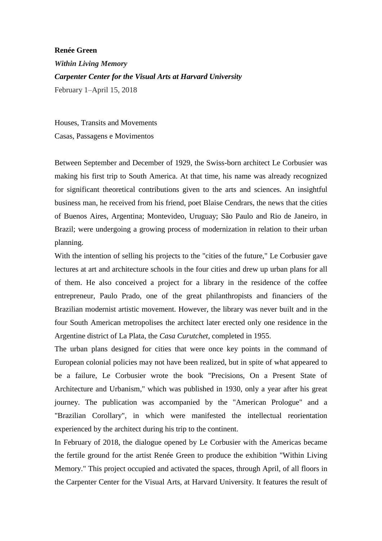## **Renée Green**

*Within Living Memory Carpenter Center for the Visual Arts at Harvard University*  February 1–April 15, 2018

Houses, Transits and Movements

Casas, Passagens e Movimentos

Between September and December of 1929, the Swiss-born architect Le Corbusier was making his first trip to South America. At that time, his name was already recognized for significant theoretical contributions given to the arts and sciences. An insightful business man, he received from his friend, poet Blaise Cendrars, the news that the cities of Buenos Aires, Argentina; Montevideo, Uruguay; São Paulo and Rio de Janeiro, in Brazil; were undergoing a growing process of modernization in relation to their urban planning.

With the intention of selling his projects to the "cities of the future," Le Corbusier gave lectures at art and architecture schools in the four cities and drew up urban plans for all of them. He also conceived a project for a library in the residence of the coffee entrepreneur, Paulo Prado, one of the great philanthropists and financiers of the Brazilian modernist artistic movement. However, the library was never built and in the four South American metropolises the architect later erected only one residence in the Argentine district of La Plata, the *Casa Curutchet*, completed in 1955.

The urban plans designed for cities that were once key points in the command of European colonial policies may not have been realized, but in spite of what appeared to be a failure, Le Corbusier wrote the book "Precisions, On a Present State of Architecture and Urbanism," which was published in 1930, only a year after his great journey. The publication was accompanied by the "American Prologue" and a "Brazilian Corollary", in which were manifested the intellectual reorientation experienced by the architect during his trip to the continent.

In February of 2018, the dialogue opened by Le Corbusier with the Americas became the fertile ground for the artist Renée Green to produce the exhibition "Within Living Memory." This project occupied and activated the spaces, through April, of all floors in the Carpenter Center for the Visual Arts, at Harvard University. It features the result of